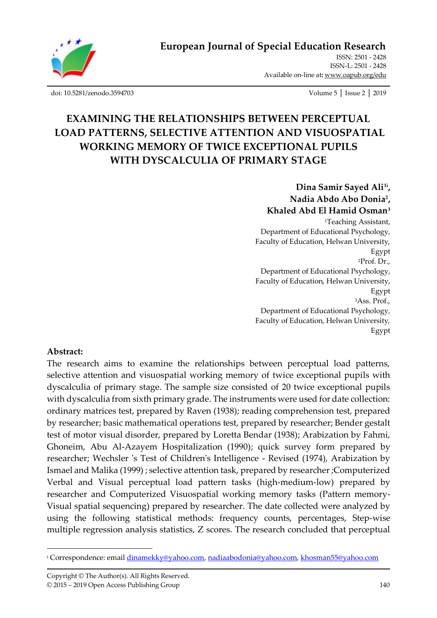

ISSN: 2501 - 2428 ISSN-L: 2501 - 2428 Available on-line at**:** [www.oapub.org/edu](http://www.oapub.org/edu)

[doi: 10.5281/zenodo.3594703](http://dx.doi.org/10.5281/zenodo.3594703) Volume 5 │ Issue 2 │ 2019

# **EXAMINING THE RELATIONSHIPS BETWEEN PERCEPTUAL LOAD PATTERNS, SELECTIVE ATTENTION AND VISUOSPATIAL WORKING MEMORY OF TWICE EXCEPTIONAL PUPILS WITH DYSCALCULIA OF PRIMARY STAGE**

**Dina Samir Sayed Ali1i , Nadia Abdo Abo Donia<sup>2</sup> , Khaled Abd El Hamid Osman<sup>3</sup>**

<sup>1</sup>Teaching Assistant, Department of Educational Psychology, Faculty of Education, Helwan University, Egypt <sup>2</sup>Prof. Dr., Department of Educational Psychology, Faculty of Education, Helwan University, Egypt <sup>3</sup>Ass. Prof., Department of Educational Psychology, Faculty of Education, Helwan University, Egypt

#### **Abstract:**

The research aims to examine the relationships between perceptual load patterns, selective attention and visuospatial working memory of twice exceptional pupils with dyscalculia of primary stage. The sample size consisted of 20 twice exceptional pupils with dyscalculia from sixth primary grade. The instruments were used for date collection: ordinary matrices test, prepared by Raven (1938); reading comprehension test, prepared by researcher; basic mathematical operations test, prepared by researcher; Bender gestalt test of motor visual disorder, prepared by Loretta Bendar (1938); Arabization by Fahmi, Ghoneim, Abu Al-Azayem Hospitalization (1990); quick survey form prepared by researcher; Wechsler 's Test of Children's Intelligence - Revised (1974), Arabization by Ismael and Malika (1999) ; selective attention task, prepared by researcher;Computerized Verbal and Visual perceptual load pattern tasks (high-medium-low) prepared by researcher and Computerized Visuospatial working memory tasks (Pattern memory-Visual spatial sequencing) prepared by researcher. The date collected were analyzed by using the following statistical methods: frequency counts, percentages, Step-wise multiple regression analysis statistics, Z scores. The research concluded that perceptual

<sup>i</sup> Correspondence: emai[l dinamekky@yahoo.com,](mailto:dinamekky@yahoo.com) [nadiaabodonia@yahoo.com,](mailto:nadiaabodonia@yahoo.com) [khosman55@yahoo.com](mailto:khosman55@yahoo.com)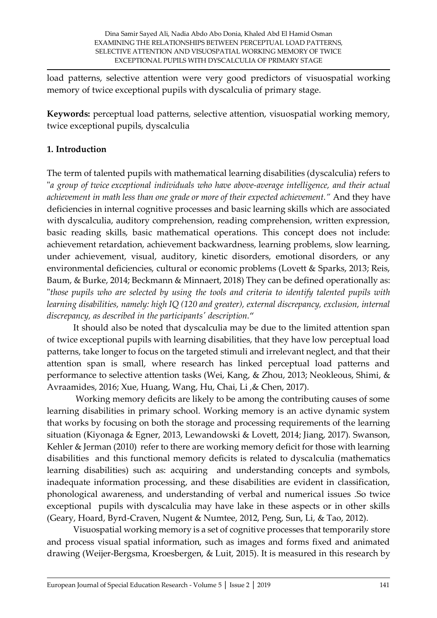load patterns, selective attention were very good predictors of visuospatial working memory of twice exceptional pupils with dyscalculia of primary stage.

**Keywords:** perceptual load patterns, selective attention, visuospatial working memory, twice exceptional pupils, dyscalculia

# **1. Introduction**

The term of talented pupils with mathematical learning disabilities (dyscalculia) refers to "*a group of twice exceptional individuals who have above-average intelligence, and their actual achievement in math less than one grade or more of their expected achievement."* And they have deficiencies in internal cognitive processes and basic learning skills which are associated with dyscalculia, auditory comprehension, reading comprehension, written expression, basic reading skills, basic mathematical operations. This concept does not include: achievement retardation, achievement backwardness, learning problems, slow learning, under achievement, visual, auditory, kinetic disorders, emotional disorders, or any environmental deficiencies, cultural or economic problems (Lovett & Sparks, 2013; Reis, Baum, & Burke, 2014; Beckmann & Minnaert, 2018) They can be defined operationally as: "*those pupils who are selected by using the tools and criteria to identify talented pupils with learning disabilities, namely: high IQ (120 and greater), external discrepancy, exclusion, internal discrepancy, as described in the participants' description.*"

It should also be noted that dyscalculia may be due to the limited attention span of twice exceptional pupils with learning disabilities, that they have low perceptual load patterns, take longer to focus on the targeted stimuli and irrelevant neglect, and that their attention span is small, where research has linked perceptual load patterns and performance to selective attention tasks (Wei, Kang, & Zhou, 2013; Neokleous, Shimi, & Avraamides, 2016; Xue, Huang, Wang, Hu, Chai, Li ,& Chen, 2017).

Working memory deficits are likely to be among the contributing causes of some learning disabilities in primary school. Working memory is an active dynamic system that works by focusing on both the storage and processing requirements of the learning situation (Kiyonaga & Egner, 2013, Lewandowski & Lovett, 2014; Jiang, 2017). Swanson, Kehler & Jerman (2010) refer to there are working memory deficit for those with learning disabilities and this functional memory deficits is related to dyscalculia (mathematics learning disabilities) such as: acquiring and understanding concepts and symbols, inadequate information processing, and these disabilities are evident in classification, phonological awareness, and understanding of verbal and numerical issues .So twice exceptional pupils with dyscalculia may have lake in these aspects or in other skills (Geary, Hoard, Byrd-Craven, Nugent & Numtee, 2012, Peng, Sun, Li, & Tao, 2012).

Visuospatial working memory is a set of cognitive processes that temporarily store and process visual spatial information, such as images and forms fixed and animated drawing (Weijer-Bergsma, Kroesbergen, & Luit, 2015). It is measured in this research by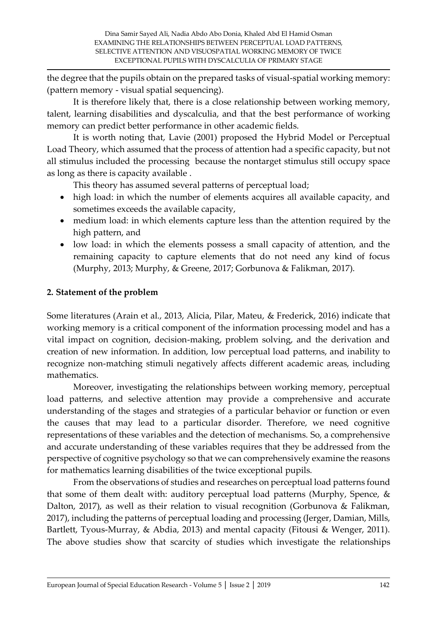the degree that the pupils obtain on the prepared tasks of visual-spatial working memory: (pattern memory - visual spatial sequencing).

It is therefore likely that, there is a close relationship between working memory, talent, learning disabilities and dyscalculia, and that the best performance of working memory can predict better performance in other academic fields.

It is worth noting that, Lavie (2001) proposed the Hybrid Model or Perceptual Load Theory, which assumed that the process of attention had a specific capacity, but not all stimulus included the processing because the nontarget stimulus still occupy space as long as there is capacity available .

This theory has assumed several patterns of perceptual load;

- high load: in which the number of elements acquires all available capacity, and sometimes exceeds the available capacity,
- medium load: in which elements capture less than the attention required by the high pattern, and
- low load: in which the elements possess a small capacity of attention, and the remaining capacity to capture elements that do not need any kind of focus (Murphy, 2013; Murphy, & Greene, 2017; Gorbunova & Falikman, 2017).

## **2. Statement of the problem**

Some literatures (Arain et al., 2013, Alicia, Pilar, Mateu, & Frederick, 2016) indicate that working memory is a critical component of the information processing model and has a vital impact on cognition, decision-making, problem solving, and the derivation and creation of new information. In addition, low perceptual load patterns, and inability to recognize non-matching stimuli negatively affects different academic areas, including mathematics.

Moreover, investigating the relationships between working memory, perceptual load patterns, and selective attention may provide a comprehensive and accurate understanding of the stages and strategies of a particular behavior or function or even the causes that may lead to a particular disorder. Therefore, we need cognitive representations of these variables and the detection of mechanisms. So, a comprehensive and accurate understanding of these variables requires that they be addressed from the perspective of cognitive psychology so that we can comprehensively examine the reasons for mathematics learning disabilities of the twice exceptional pupils.

From the observations of studies and researches on perceptual load patterns found that some of them dealt with: auditory perceptual load patterns (Murphy, Spence,  $\&$ Dalton, 2017), as well as their relation to visual recognition (Gorbunova & Falikman, 2017), including the patterns of perceptual loading and processing (Jerger, Damian, Mills, Bartlett, Tyous-Murray, & Abdia, 2013) and mental capacity (Fitousi & Wenger, 2011). The above studies show that scarcity of studies which investigate the relationships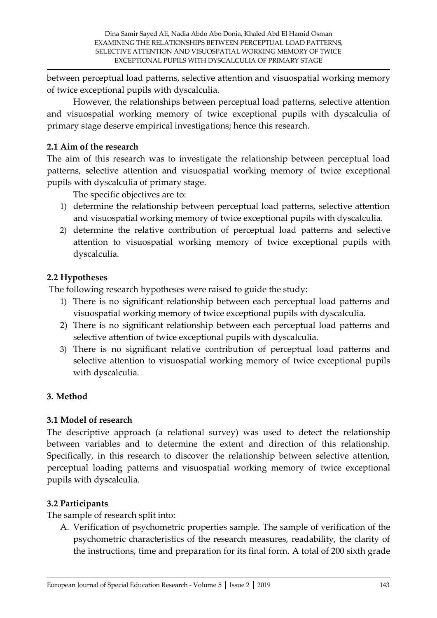between perceptual load patterns, selective attention and visuospatial working memory of twice exceptional pupils with dyscalculia.

However, the relationships between perceptual load patterns, selective attention and visuospatial working memory of twice exceptional pupils with dyscalculia of primary stage deserve empirical investigations; hence this research.

## **2.1 Aim of the research**

The aim of this research was to investigate the relationship between perceptual load patterns, selective attention and visuospatial working memory of twice exceptional pupils with dyscalculia of primary stage.

The specific objectives are to:

- 1) determine the relationship between perceptual load patterns, selective attention and visuospatial working memory of twice exceptional pupils with dyscalculia.
- 2) determine the relative contribution of perceptual load patterns and selective attention to visuospatial working memory of twice exceptional pupils with dyscalculia.

## **2.2 Hypotheses**

The following research hypotheses were raised to guide the study:

- 1) There is no significant relationship between each perceptual load patterns and visuospatial working memory of twice exceptional pupils with dyscalculia.
- 2) There is no significant relationship between each perceptual load patterns and selective attention of twice exceptional pupils with dyscalculia.
- 3) There is no significant relative contribution of perceptual load patterns and selective attention to visuospatial working memory of twice exceptional pupils with dyscalculia.

## **3. Method**

#### **3.1 Model of research**

The descriptive approach (a relational survey) was used to detect the relationship between variables and to determine the extent and direction of this relationship. Specifically, in this research to discover the relationship between selective attention, perceptual loading patterns and visuospatial working memory of twice exceptional pupils with dyscalculia.

#### **3.2 Participants**

The sample of research split into:

A. Verification of psychometric properties sample. The sample of verification of the psychometric characteristics of the research measures, readability, the clarity of the instructions, time and preparation for its final form. A total of 200 sixth grade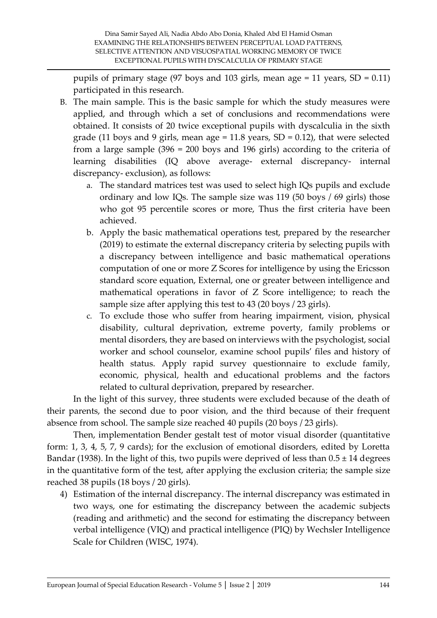pupils of primary stage (97 boys and 103 girls, mean age = 11 years,  $SD = 0.11$ ) participated in this research.

- B. The main sample. This is the basic sample for which the study measures were applied, and through which a set of conclusions and recommendations were obtained. It consists of 20 twice exceptional pupils with dyscalculia in the sixth grade (11 boys and 9 girls, mean age =  $11.8$  years, SD = 0.12), that were selected from a large sample (396 = 200 boys and 196 girls) according to the criteria of learning disabilities (IQ above average- external discrepancy- internal discrepancy- exclusion), as follows:
	- a. The standard matrices test was used to select high IQs pupils and exclude ordinary and low IQs. The sample size was 119 (50 boys / 69 girls) those who got 95 percentile scores or more, Thus the first criteria have been achieved.
	- b. Apply the basic mathematical operations test, prepared by the researcher (2019) to estimate the external discrepancy criteria by selecting pupils with a discrepancy between intelligence and basic mathematical operations computation of one or more Z Scores for intelligence by using the Ericsson standard score equation, External, one or greater between intelligence and mathematical operations in favor of Z Score intelligence; to reach the sample size after applying this test to 43 (20 boys / 23 girls).
	- c. To exclude those who suffer from hearing impairment, vision, physical disability, cultural deprivation, extreme poverty, family problems or mental disorders, they are based on interviews with the psychologist, social worker and school counselor, examine school pupils' files and history of health status. Apply rapid survey questionnaire to exclude family, economic, physical, health and educational problems and the factors related to cultural deprivation, prepared by researcher.

In the light of this survey, three students were excluded because of the death of their parents, the second due to poor vision, and the third because of their frequent absence from school. The sample size reached 40 pupils (20 boys / 23 girls).

Then, implementation Bender gestalt test of motor visual disorder (quantitative form: 1, 3, 4, 5, 7, 9 cards); for the exclusion of emotional disorders, edited by Loretta Bandar (1938). In the light of this, two pupils were deprived of less than  $0.5 \pm 14$  degrees in the quantitative form of the test, after applying the exclusion criteria; the sample size reached 38 pupils (18 boys / 20 girls).

4) Estimation of the internal discrepancy. The internal discrepancy was estimated in two ways, one for estimating the discrepancy between the academic subjects (reading and arithmetic) and the second for estimating the discrepancy between verbal intelligence (VIQ) and practical intelligence (PIQ) by Wechsler Intelligence Scale for Children (WISC, 1974).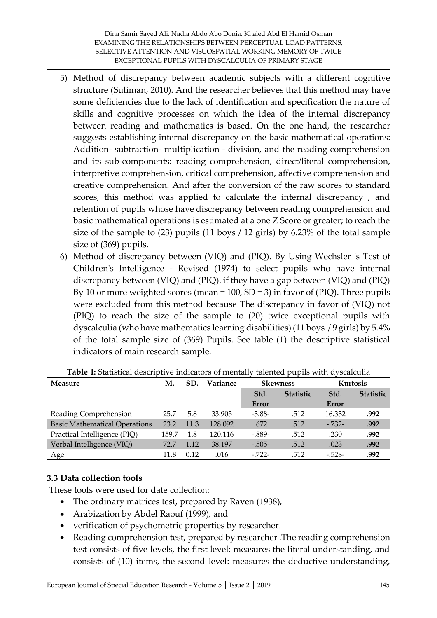- 5) Method of discrepancy between academic subjects with a different cognitive structure (Suliman, 2010). And the researcher believes that this method may have some deficiencies due to the lack of identification and specification the nature of skills and cognitive processes on which the idea of the internal discrepancy between reading and mathematics is based. On the one hand, the researcher suggests establishing internal discrepancy on the basic mathematical operations: Addition- subtraction- multiplication - division, and the reading comprehension and its sub-components: reading comprehension, direct/literal comprehension, interpretive comprehension, critical comprehension, affective comprehension and creative comprehension. And after the conversion of the raw scores to standard scores, this method was applied to calculate the internal discrepancy , and retention of pupils whose have discrepancy between reading comprehension and basic mathematical operations is estimated at a one Z Score or greater; to reach the size of the sample to (23) pupils (11 boys / 12 girls) by 6.23% of the total sample size of (369) pupils.
- 6) Method of discrepancy between (VIQ) and (PIQ). By Using Wechsler 's Test of Children's Intelligence - Revised (1974) to select pupils who have internal discrepancy between (VIQ) and (PIQ). if they have a gap between (VIQ) and (PIQ) By 10 or more weighted scores (mean = 100, SD = 3) in favor of (PIQ). Three pupils were excluded from this method because The discrepancy in favor of (VIQ) not (PIQ) to reach the size of the sample to (20) twice exceptional pupils with dyscalculia (who have mathematics learning disabilities) (11 boys / 9 girls) by 5.4% of the total sample size of (369) Pupils. See table (1) the descriptive statistical indicators of main research sample.

| Measure                              | М.    | SD.  | Variance | <b>Skewness</b> |                  | Kurtosis |                  |
|--------------------------------------|-------|------|----------|-----------------|------------------|----------|------------------|
|                                      |       |      |          | Std.            | <b>Statistic</b> | Std.     | <b>Statistic</b> |
|                                      |       |      |          | Error           |                  | Error    |                  |
| Reading Comprehension                | 25.7  | 5.8  | 33.905   | $-3.88-$        | .512             | 16.332   | .992             |
| <b>Basic Mathematical Operations</b> | 23.2  | 11.3 | 128.092  | .672            | .512             | $-.732-$ | .992             |
| Practical Intelligence (PIQ)         | 159.7 | 1.8  | 120.116  | $-.889-$        | .512             | .230     | .992             |
| Verbal Intelligence (VIQ)            | 72.7  | 1.12 | 38.197   | $-.505-$        | .512             | .023     | .992             |
| Age                                  | 11.8  | 0.12 | .016     | $-.722-$        | .512             | $-.528-$ | .992             |

**Table 1:** Statistical descriptive indicators of mentally talented pupils with dyscalculia

#### **3.3 Data collection tools**

These tools were used for date collection:

- The ordinary matrices test, prepared by Raven (1938),
- Arabization by Abdel Raouf (1999), and
- verification of psychometric properties by researcher .
- Reading comprehension test, prepared by researcher .The reading comprehension test consists of five levels, the first level: measures the literal understanding, and consists of (10) items, the second level: measures the deductive understanding,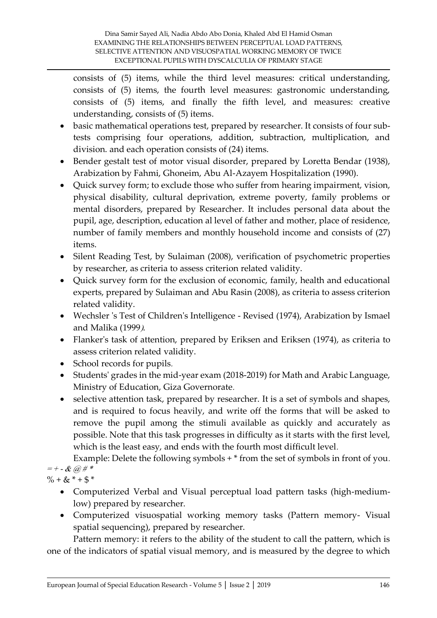consists of (5) items, while the third level measures: critical understanding, consists of (5) items, the fourth level measures: gastronomic understanding, consists of (5) items, and finally the fifth level, and measures: creative understanding, consists of (5) items.

- basic mathematical operations test, prepared by researcher. It consists of four subtests comprising four operations, addition, subtraction, multiplication, and division. and each operation consists of (24) items.
- Bender gestalt test of motor visual disorder, prepared by Loretta Bendar (1938), Arabization by Fahmi, Ghoneim, Abu Al-Azayem Hospitalization (1990).
- Quick survey form; to exclude those who suffer from hearing impairment, vision, physical disability, cultural deprivation, extreme poverty, family problems or mental disorders, prepared by Researcher. It includes personal data about the pupil, age, description, education al level of father and mother, place of residence, number of family members and monthly household income and consists of (27) items.
- Silent Reading Test, by Sulaiman (2008), verification of psychometric properties by researcher, as criteria to assess criterion related validity.
- Quick survey form for the exclusion of economic, family, health and educational experts, prepared by Sulaiman and Abu Rasin (2008), as criteria to assess criterion related validity.
- Wechsler 's Test of Children's Intelligence Revised (1974), Arabization by Ismael and Malika (1999).
- Flanker's task of attention, prepared by Eriksen and Eriksen (1974), as criteria to assess criterion related validity.
- School records for pupils.
- Students' grades in the mid-year exam (2018-2019) for Math and Arabic Language, Ministry of Education, Giza Governorate.
- selective attention task, prepared by researcher. It is a set of symbols and shapes, and is required to focus heavily, and write off the forms that will be asked to remove the pupil among the stimuli available as quickly and accurately as possible. Note that this task progresses in difficulty as it starts with the first level, which is the least easy, and ends with the fourth most difficult level.

Example: Delete the following symbols  $+$  \* from the set of symbols in front of you.  $= + - \& @$  #\*

 $\% + \& * + \$\*$ 

- Computerized Verbal and Visual perceptual load pattern tasks (high-mediumlow) prepared by researcher.
- Computerized visuospatial working memory tasks (Pattern memory- Visual spatial sequencing), prepared by researcher.

Pattern memory: it refers to the ability of the student to call the pattern, which is one of the indicators of spatial visual memory, and is measured by the degree to which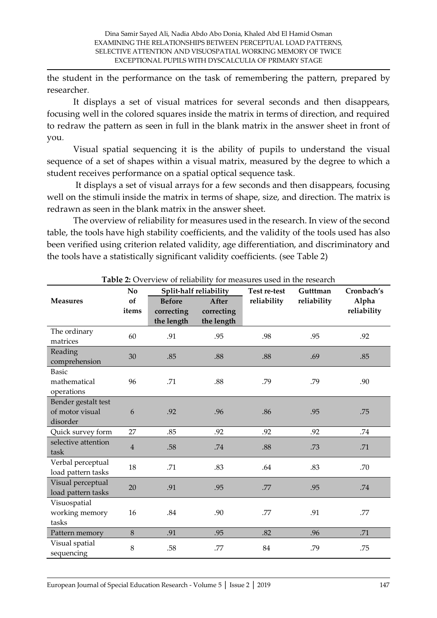the student in the performance on the task of remembering the pattern, prepared by researcher.

 It displays a set of visual matrices for several seconds and then disappears, focusing well in the colored squares inside the matrix in terms of direction, and required to redraw the pattern as seen in full in the blank matrix in the answer sheet in front of you.

Visual spatial sequencing it is the ability of pupils to understand the visual sequence of a set of shapes within a visual matrix, measured by the degree to which a student receives performance on a spatial optical sequence task .

It displays a set of visual arrays for a few seconds and then disappears, focusing well on the stimuli inside the matrix in terms of shape, size, and direction. The matrix is redrawn as seen in the blank matrix in the answer sheet.

The overview of reliability for measures used in the research. In view of the second table, the tools have high stability coefficients, and the validity of the tools used has also been verified using criterion related validity, age differentiation, and discriminatory and the tools have a statistically significant validity coefficients. (see Table 2)

|                                                    | No             |     | Split-half reliability                                                         | Test re-test | Gutttman    | Cronbach's           |  |
|----------------------------------------------------|----------------|-----|--------------------------------------------------------------------------------|--------------|-------------|----------------------|--|
| <b>Measures</b>                                    | of<br>items    |     | <b>Before</b><br>After<br>correcting<br>correcting<br>the length<br>the length |              | reliability | Alpha<br>reliability |  |
| The ordinary<br>matrices                           | 60             | .91 | .95                                                                            | .98          | .95         | .92                  |  |
| Reading<br>comprehension                           | 30             | .85 | .88                                                                            | .88          | .69         | .85                  |  |
| <b>Basic</b><br>mathematical<br>operations         | 96             | .71 | .88                                                                            | .79          | .79         | .90                  |  |
| Bender gestalt test<br>of motor visual<br>disorder | 6              | .92 | .96                                                                            | .86          | .95         | .75                  |  |
| Quick survey form                                  | 27             | .85 | .92                                                                            | .92          | .92         | .74                  |  |
| selective attention<br>task                        | $\overline{4}$ | .58 | .74                                                                            | .88          | .73         | .71                  |  |
| Verbal perceptual<br>load pattern tasks            | 18             | .71 | .83                                                                            | .64          | .83         | .70                  |  |
| Visual perceptual<br>load pattern tasks            | 20             | .91 | .95                                                                            | .77          | .95         | .74                  |  |
| Visuospatial<br>working memory<br>tasks            | 16             | .84 | .90                                                                            | .77          | .91         | .77                  |  |
| Pattern memory                                     | $\,8\,$        | .91 | .95                                                                            | .82          | .96         | .71                  |  |
| Visual spatial<br>sequencing                       | 8              | .58 | .77                                                                            | 84           | .79         | .75                  |  |

**Table 2:** Overview of reliability for measures used in the research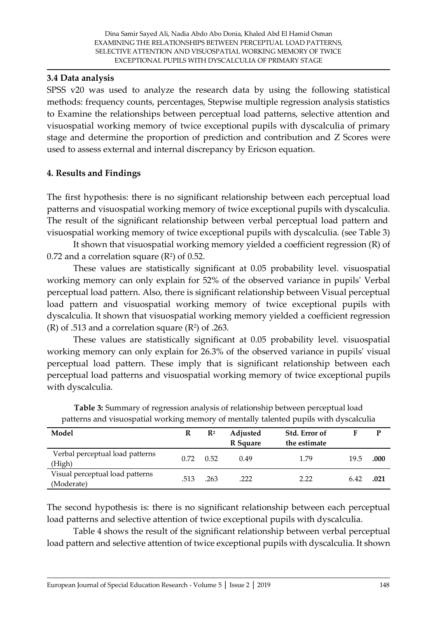### **3.4 Data analysis**

SPSS v20 was used to analyze the research data by using the following statistical methods: frequency counts, percentages, Stepwise multiple regression analysis statistics to Examine the relationships between perceptual load patterns, selective attention and visuospatial working memory of twice exceptional pupils with dyscalculia of primary stage and determine the proportion of prediction and contribution and Z Scores were used to assess external and internal discrepancy by Ericson equation.

## **4. Results and Findings**

The first hypothesis: there is no significant relationship between each perceptual load patterns and visuospatial working memory of twice exceptional pupils with dyscalculia. The result of the significant relationship between verbal perceptual load pattern and visuospatial working memory of twice exceptional pupils with dyscalculia. (see Table 3)

It shown that visuospatial working memory yielded a coefficient regression (R) of  $0.72$  and a correlation square ( $\mathsf{R}^2$ ) of  $0.52.$ 

These values are statistically significant at 0.05 probability level. visuospatial working memory can only explain for 52% of the observed variance in pupils' Verbal perceptual load pattern. Also, there is significant relationship between Visual perceptual load pattern and visuospatial working memory of twice exceptional pupils with dyscalculia. It shown that visuospatial working memory yielded a coefficient regression (R) of .513 and a correlation square ( $\mathbb{R}^2$ ) of .263.

These values are statistically significant at 0.05 probability level. visuospatial working memory can only explain for 26.3% of the observed variance in pupils' visual perceptual load pattern. These imply that is significant relationship between each perceptual load patterns and visuospatial working memory of twice exceptional pupils with dyscalculia.

|                                               |      |                | .                    |                               |      |      |
|-----------------------------------------------|------|----------------|----------------------|-------------------------------|------|------|
| Model                                         | R    | $\mathbf{R}^2$ | Adjusted<br>R Square | Std. Error of<br>the estimate |      | P    |
| Verbal perceptual load patterns<br>(High)     | 0.72 | 0.52           | 0.49                 | 1.79                          | 19.5 | .000 |
| Visual perceptual load patterns<br>(Moderate) | .513 | .263           | .222                 | 2.22                          | 6.42 | .021 |

**Table 3:** Summary of regression analysis of relationship between perceptual load patterns and visuospatial working memory of mentally talented pupils with dyscalculia

The second hypothesis is: there is no significant relationship between each perceptual load patterns and selective attention of twice exceptional pupils with dyscalculia.

Table 4 shows the result of the significant relationship between verbal perceptual load pattern and selective attention of twice exceptional pupils with dyscalculia. It shown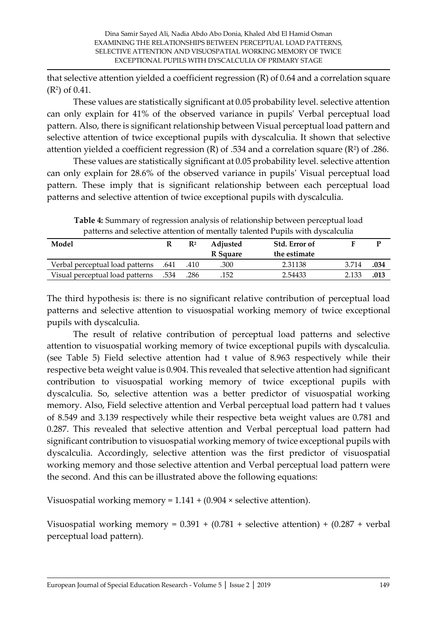that selective attention yielded a coefficient regression (R) of 0.64 and a correlation square (R<sup>2</sup> ) of 0.41.

These values are statistically significant at 0.05 probability level. selective attention can only explain for 41% of the observed variance in pupils' Verbal perceptual load pattern. Also, there is significant relationship between Visual perceptual load pattern and selective attention of twice exceptional pupils with dyscalculia. It shown that selective attention yielded a coefficient regression (R) of .534 and a correlation square (R²) of .286.

These values are statistically significant at 0.05 probability level. selective attention can only explain for 28.6% of the observed variance in pupils' Visual perceptual load pattern. These imply that is significant relationship between each perceptual load patterns and selective attention of twice exceptional pupils with dyscalculia.

| patterns and selective attention of intentally talented I upils with dystalcuna |   |                |                 |               |       |      |  |  |
|---------------------------------------------------------------------------------|---|----------------|-----------------|---------------|-------|------|--|--|
| Model                                                                           | R | $\mathbf{R}^2$ | <b>Adjusted</b> | Std. Error of |       |      |  |  |
|                                                                                 |   |                | R Square        | the estimate  |       |      |  |  |
| 641. Verbal perceptual load patterns                                            |   | .410           | .300            | 2.31138       | 3.714 | .034 |  |  |
| 534. Visual perceptual load patterns                                            |   | .286           | .152            | 2.54433       | 2.133 | .013 |  |  |

**Table 4:** Summary of regression analysis of relationship between perceptual load patterns and selective attention of mentally talented Pupils with dyscalculia

The third hypothesis is: there is no significant relative contribution of perceptual load patterns and selective attention to visuospatial working memory of twice exceptional pupils with dyscalculia.

The result of relative contribution of perceptual load patterns and selective attention to visuospatial working memory of twice exceptional pupils with dyscalculia. (see Table 5) Field selective attention had t value of 8.963 respectively while their respective beta weight value is 0.904. This revealed that selective attention had significant contribution to visuospatial working memory of twice exceptional pupils with dyscalculia. So, selective attention was a better predictor of visuospatial working memory. Also, Field selective attention and Verbal perceptual load pattern had t values of 8.549 and 3.139 respectively while their respective beta weight values are 0.781 and 0.287. This revealed that selective attention and Verbal perceptual load pattern had significant contribution to visuospatial working memory of twice exceptional pupils with dyscalculia. Accordingly, selective attention was the first predictor of visuospatial working memory and those selective attention and Verbal perceptual load pattern were the second. And this can be illustrated above the following equations:

Visuospatial working memory =  $1.141 + (0.904 \times \text{selective attention}).$ 

Visuospatial working memory =  $0.391 + (0.781 + \text{selective attention}) + (0.287 + \text{verbal})$ perceptual load pattern).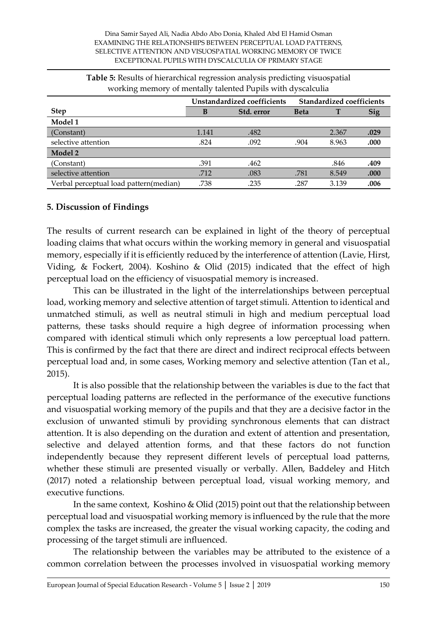| $\cdot$                                |                             |            |                                  |       |            |
|----------------------------------------|-----------------------------|------------|----------------------------------|-------|------------|
|                                        | Unstandardized coefficients |            | <b>Standardized coefficients</b> |       |            |
| <b>Step</b>                            | В                           | Std. error | <b>Beta</b>                      |       | <b>Sig</b> |
| Model 1                                |                             |            |                                  |       |            |
| (Constant)                             | 1.141                       | .482       |                                  | 2.367 | .029       |
| selective attention                    | .824                        | .092       | .904                             | 8.963 | .000       |
| Model 2                                |                             |            |                                  |       |            |
| (Constant)                             | .391                        | .462       |                                  | .846  | .409       |
| selective attention                    | .712                        | .083       | .781                             | 8.549 | .000       |
| Verbal perceptual load pattern(median) | .738                        | .235       | .287                             | 3.139 | .006       |

**Table 5:** Results of hierarchical regression analysis predicting visuospatial working memory of mentally talented Pupils with dyscalculia

#### **5. Discussion of Findings**

The results of current research can be explained in light of the theory of perceptual loading claims that what occurs within the working memory in general and visuospatial memory, especially if it is efficiently reduced by the interference of attention (Lavie, Hirst, Viding, & Fockert, 2004). Koshino & Olid (2015) indicated that the effect of high perceptual load on the efficiency of visuospatial memory is increased.

This can be illustrated in the light of the interrelationships between perceptual load, working memory and selective attention of target stimuli. Attention to identical and unmatched stimuli, as well as neutral stimuli in high and medium perceptual load patterns, these tasks should require a high degree of information processing when compared with identical stimuli which only represents a low perceptual load pattern. This is confirmed by the fact that there are direct and indirect reciprocal effects between perceptual load and, in some cases, Working memory and selective attention (Tan et al., 2015).

It is also possible that the relationship between the variables is due to the fact that perceptual loading patterns are reflected in the performance of the executive functions and visuospatial working memory of the pupils and that they are a decisive factor in the exclusion of unwanted stimuli by providing synchronous elements that can distract attention. It is also depending on the duration and extent of attention and presentation, selective and delayed attention forms, and that these factors do not function independently because they represent different levels of perceptual load patterns, whether these stimuli are presented visually or verbally. Allen, Baddeley and Hitch (2017) noted a relationship between perceptual load, visual working memory, and executive functions.

In the same context, Koshino & Olid (2015) point out that the relationship between perceptual load and visuospatial working memory is influenced by the rule that the more complex the tasks are increased, the greater the visual working capacity, the coding and processing of the target stimuli are influenced.

The relationship between the variables may be attributed to the existence of a common correlation between the processes involved in visuospatial working memory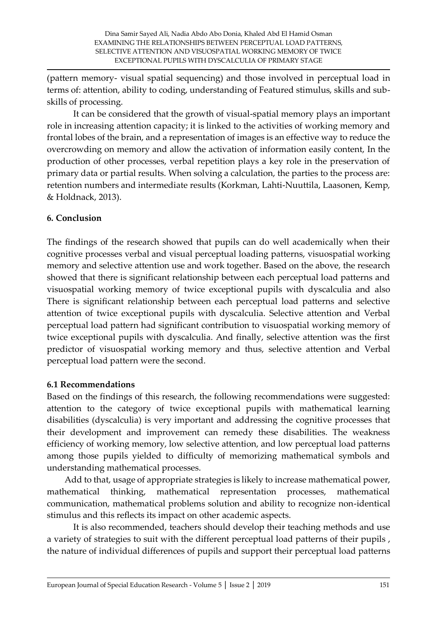(pattern memory- visual spatial sequencing) and those involved in perceptual load in terms of: attention, ability to coding, understanding of Featured stimulus, skills and subskills of processing.

It can be considered that the growth of visual-spatial memory plays an important role in increasing attention capacity; it is linked to the activities of working memory and frontal lobes of the brain, and a representation of images is an effective way to reduce the overcrowding on memory and allow the activation of information easily content, In the production of other processes, verbal repetition plays a key role in the preservation of primary data or partial results. When solving a calculation, the parties to the process are: retention numbers and intermediate results (Korkman, Lahti-Nuuttila, Laasonen, Kemp, & Holdnack, 2013).

# **6. Conclusion**

The findings of the research showed that pupils can do well academically when their cognitive processes verbal and visual perceptual loading patterns, visuospatial working memory and selective attention use and work together. Based on the above, the research showed that there is significant relationship between each perceptual load patterns and visuospatial working memory of twice exceptional pupils with dyscalculia and also There is significant relationship between each perceptual load patterns and selective attention of twice exceptional pupils with dyscalculia. Selective attention and Verbal perceptual load pattern had significant contribution to visuospatial working memory of twice exceptional pupils with dyscalculia. And finally, selective attention was the first predictor of visuospatial working memory and thus, selective attention and Verbal perceptual load pattern were the second.

## **6.1 Recommendations**

Based on the findings of this research, the following recommendations were suggested: attention to the category of twice exceptional pupils with mathematical learning disabilities (dyscalculia) is very important and addressing the cognitive processes that their development and improvement can remedy these disabilities. The weakness efficiency of working memory, low selective attention, and low perceptual load patterns among those pupils yielded to difficulty of memorizing mathematical symbols and understanding mathematical processes.

 Add to that, usage of appropriate strategies is likely to increase mathematical power, mathematical thinking, mathematical representation processes, mathematical communication, mathematical problems solution and ability to recognize non-identical stimulus and this reflects its impact on other academic aspects.

It is also recommended, teachers should develop their teaching methods and use a variety of strategies to suit with the different perceptual load patterns of their pupils , the nature of individual differences of pupils and support their perceptual load patterns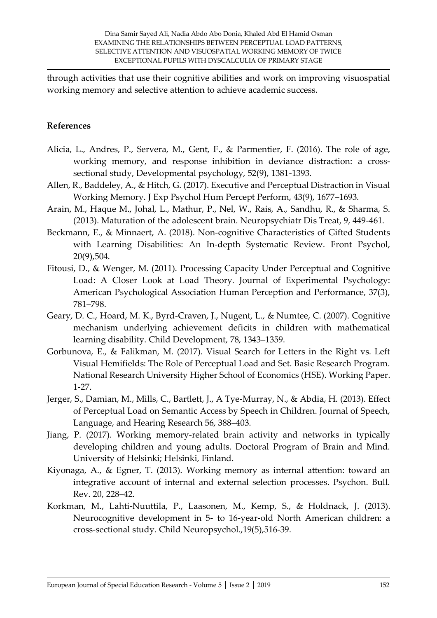through activities that use their cognitive abilities and work on improving visuospatial working memory and selective attention to achieve academic success.

#### **References**

- Alicia, L., Andres, P., Servera, M., Gent, F., & Parmentier, F. (2016). The role of age, working memory, and response inhibition in deviance distraction: a crosssectional study, Developmental psychology, 52(9), 1381-1393.
- Allen, R., Baddeley, A., & Hitch, G. (2017). Executive and Perceptual Distraction in Visual Working Memory. J Exp Psychol Hum Percept Perform, 43(9), 1677–1693.
- Arain, M., Haque M., Johal, L., Mathur, P., Nel, W., Rais, A., Sandhu, R., & Sharma, S. (2013). Maturation of the adolescent brain. Neuropsychiatr Dis Treat, 9, 449-461.
- Beckmann, E., & Minnaert, A. (2018). Non-cognitive Characteristics of Gifted Students with Learning Disabilities: An In-depth Systematic Review. Front Psychol, 20(9),504.
- Fitousi, D., & Wenger, M. (2011). Processing Capacity Under Perceptual and Cognitive Load: A Closer Look at Load Theory. Journal of Experimental Psychology: American Psychological Association Human Perception and Performance, 37(3), 781–798.
- Geary, D. C., Hoard, M. K., Byrd-Craven, J., Nugent, L., & Numtee, C. (2007). Cognitive mechanism underlying achievement deficits in children with mathematical learning disability. Child Development, 78, 1343–1359.
- Gorbunova, E., & Falikman, M. (2017). Visual Search for Letters in the Right vs. Left Visual Hemifields: The Role of Perceptual Load and Set. Basic Research Program. National Research University Higher School of Economics (HSE). Working Paper. 1-27.
- Jerger, S., Damian, M., Mills, C., Bartlett, J., A Tye-Murray, N., & Abdia, H. (2013). Effect of Perceptual Load on Semantic Access by Speech in Children. Journal of Speech, Language, and Hearing Research 56, 388–403.
- Jiang, P. (2017). Working memory-related brain activity and networks in typically developing children and young adults. Doctoral Program of Brain and Mind. University of Helsinki; Helsinki, Finland.
- Kiyonaga, A., & Egner, T. (2013). Working memory as internal attention: toward an integrative account of internal and external selection processes. Psychon. Bull. Rev. 20, 228–42.
- Korkman, M., Lahti-Nuuttila, P., Laasonen, M., Kemp, S., & Holdnack, J. (2013). Neurocognitive development in 5- to 16-year-old North American children: a cross-sectional study. Child Neuropsychol.,19(5),516-39.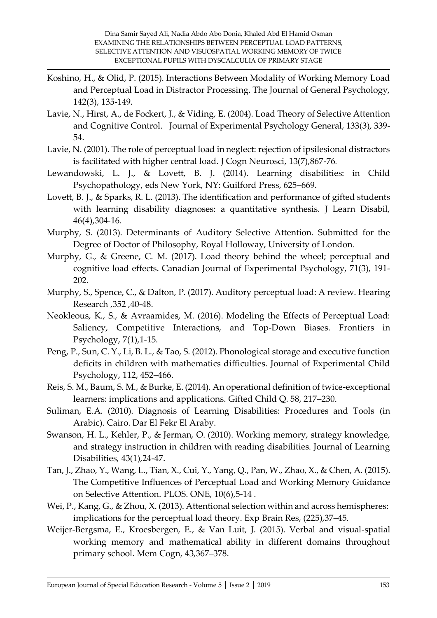- Koshino, H., & Olid, P. (2015). Interactions Between Modality of Working Memory Load and Perceptual Load in Distractor Processing. The Journal of General Psychology, 142(3), 135-149.
- Lavie, N., Hirst, A., de Fockert, J., & Viding, E. (2004). Load Theory of Selective Attention and Cognitive Control. Journal of Experimental Psychology General, 133(3), 339- 54.
- Lavie, N. (2001). The role of perceptual load in neglect: rejection of ipsilesional distractors is facilitated with higher central load. J Cogn Neurosci, 13(7),867-76.
- Lewandowski, L. J., & Lovett, B. J. (2014). Learning disabilities: in Child Psychopathology, eds New York, NY: Guilford Press, 625–669.
- Lovett, B. J., & Sparks, R. L. (2013). The identification and performance of gifted students with learning disability diagnoses: a quantitative synthesis. J Learn Disabil, 46(4),304-16.
- Murphy, S. (2013). Determinants of Auditory Selective Attention. Submitted for the Degree of Doctor of Philosophy, Royal Holloway, University of London.
- Murphy, G., & Greene, C. M. (2017). Load theory behind the wheel; perceptual and cognitive load effects. Canadian Journal of Experimental Psychology, 71(3), 191- 202.
- Murphy, S., Spence, C., & Dalton, P. (2017). Auditory perceptual load: A review. Hearing Research ,352 ,40-48.
- Neokleous, K., S., & Avraamides, M. (2016). Modeling the Effects of Perceptual Load: Saliency, Competitive Interactions, and Top-Down Biases. Frontiers in Psychology, 7(1),1-15.
- Peng, P., Sun, C. Y., Li, B. L., & Tao, S. (2012). Phonological storage and executive function deficits in children with mathematics difficulties. Journal of Experimental Child Psychology, 112, 452–466.
- Reis, S. M., Baum, S. M., & Burke, E. (2014). An operational definition of twice-exceptional learners: implications and applications. Gifted Child Q. 58, 217–230.
- Suliman, E.A. (2010). Diagnosis of Learning Disabilities: Procedures and Tools (in Arabic). Cairo. Dar El Fekr El Araby.
- Swanson, H. L., Kehler, P., & Jerman, O. (2010). Working memory, strategy knowledge, and strategy instruction in children with reading disabilities. Journal of Learning Disabilities, 43(1),24-47.
- Tan, J., Zhao, Y., Wang, L., Tian, X., Cui, Y., Yang, Q., Pan, W., Zhao, X., & Chen, A. (2015). The Competitive Influences of Perceptual Load and Working Memory Guidance on Selective Attention. PLOS. ONE, 10(6),5-14 .
- Wei, P., Kang, G., & Zhou, X. (2013). Attentional selection within and across hemispheres: implications for the perceptual load theory. Exp Brain Res, (225), 37–45.
- Weijer-Bergsma, E., Kroesbergen, E., & Van Luit, J. (2015). Verbal and visual-spatial working memory and mathematical ability in different domains throughout primary school. Mem Cogn, 43,367–378.